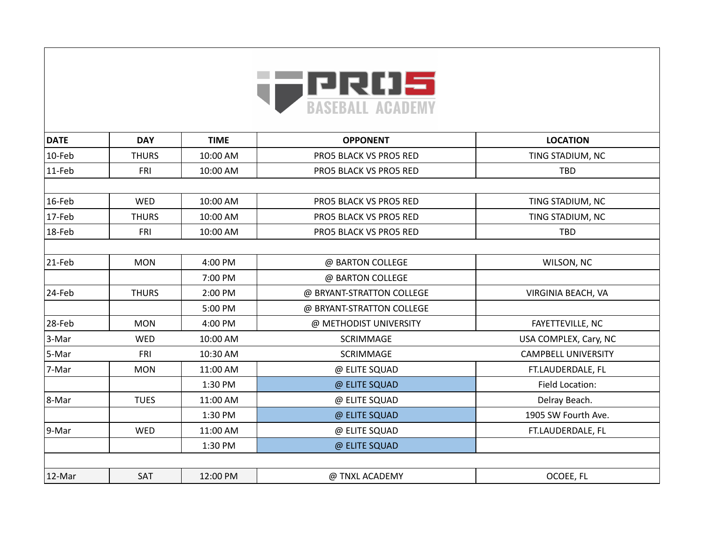

| <b>DATE</b> | <b>DAY</b>   | <b>TIME</b> | <b>OPPONENT</b>           | <b>LOCATION</b>            |
|-------------|--------------|-------------|---------------------------|----------------------------|
| $ 10$ -Feb  | <b>THURS</b> | 10:00 AM    | PRO5 BLACK VS PRO5 RED    | TING STADIUM, NC           |
| $11$ -Feb   | FRI          | 10:00 AM    | PRO5 BLACK VS PRO5 RED    | <b>TBD</b>                 |
|             |              |             |                           |                            |
| $16$ -Feb   | <b>WED</b>   | 10:00 AM    | PRO5 BLACK VS PRO5 RED    | TING STADIUM, NC           |
| $17-Feb$    | <b>THURS</b> | 10:00 AM    | PRO5 BLACK VS PRO5 RED    | TING STADIUM, NC           |
| 18-Feb      | FRI          | 10:00 AM    | PRO5 BLACK VS PRO5 RED    | <b>TBD</b>                 |
|             |              |             |                           |                            |
| 21-Feb      | <b>MON</b>   | 4:00 PM     | @ BARTON COLLEGE          | WILSON, NC                 |
|             |              | 7:00 PM     | @ BARTON COLLEGE          |                            |
| 24-Feb      | <b>THURS</b> | 2:00 PM     | @ BRYANT-STRATTON COLLEGE | VIRGINIA BEACH, VA         |
|             |              | 5:00 PM     | @ BRYANT-STRATTON COLLEGE |                            |
| 28-Feb      | <b>MON</b>   | 4:00 PM     | @ METHODIST UNIVERSITY    | FAYETTEVILLE, NC           |
| 3-Mar       | WED          | 10:00 AM    | <b>SCRIMMAGE</b>          | USA COMPLEX, Cary, NC      |
| 5-Mar       | <b>FRI</b>   | 10:30 AM    | SCRIMMAGE                 | <b>CAMPBELL UNIVERSITY</b> |
| 7-Mar       | <b>MON</b>   | 11:00 AM    | @ ELITE SQUAD             | FT.LAUDERDALE, FL          |
|             |              | 1:30 PM     | @ ELITE SQUAD             | <b>Field Location:</b>     |
| 8-Mar       | <b>TUES</b>  | 11:00 AM    | @ ELITE SQUAD             | Delray Beach.              |
|             |              | 1:30 PM     | @ ELITE SQUAD             | 1905 SW Fourth Ave.        |
| 9-Mar       | <b>WED</b>   | 11:00 AM    | @ ELITE SQUAD             | FT.LAUDERDALE, FL          |
|             |              | 1:30 PM     | @ ELITE SQUAD             |                            |
|             |              |             |                           |                            |
| $ 12$ -Mar  | SAT          | 12:00 PM    | @ TNXL ACADEMY            | OCOEE, FL                  |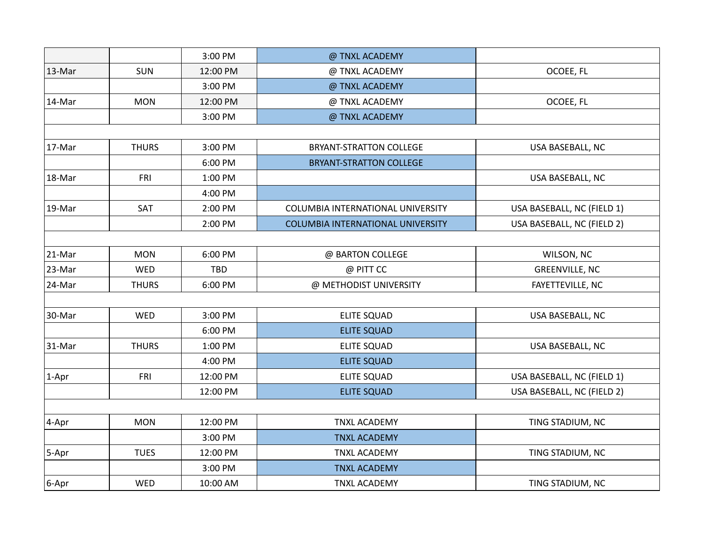|              |              | 3:00 PM    | @ TNXL ACADEMY                           |                            |
|--------------|--------------|------------|------------------------------------------|----------------------------|
| 13-Mar       | <b>SUN</b>   | 12:00 PM   | @ TNXL ACADEMY                           | OCOEE, FL                  |
|              |              | 3:00 PM    | @ TNXL ACADEMY                           |                            |
| $ 14$ -Mar   | <b>MON</b>   | 12:00 PM   | @ TNXL ACADEMY                           | OCOEE, FL                  |
|              |              | 3:00 PM    | @ TNXL ACADEMY                           |                            |
|              |              |            |                                          |                            |
| $ 17$ -Mar   | <b>THURS</b> | 3:00 PM    | <b>BRYANT-STRATTON COLLEGE</b>           | USA BASEBALL, NC           |
|              |              | 6:00 PM    | <b>BRYANT-STRATTON COLLEGE</b>           |                            |
| 18-Mar       | FRI          | 1:00 PM    |                                          | USA BASEBALL, NC           |
|              |              | 4:00 PM    |                                          |                            |
| 19-Mar       | SAT          | 2:00 PM    | COLUMBIA INTERNATIONAL UNIVERSITY        | USA BASEBALL, NC (FIELD 1) |
|              |              | 2:00 PM    | <b>COLUMBIA INTERNATIONAL UNIVERSITY</b> | USA BASEBALL, NC (FIELD 2) |
|              |              |            |                                          |                            |
| $21$ -Mar    | <b>MON</b>   | 6:00 PM    | @ BARTON COLLEGE                         | WILSON, NC                 |
| $ 23$ -Mar   | WED          | <b>TBD</b> | @ PITT CC                                | <b>GREENVILLE, NC</b>      |
| 24-Mar       | <b>THURS</b> | 6:00 PM    | @ METHODIST UNIVERSITY                   | FAYETTEVILLE, NC           |
|              |              |            |                                          |                            |
| 30-Mar       | WED          | 3:00 PM    | <b>ELITE SQUAD</b>                       | USA BASEBALL, NC           |
|              |              | 6:00 PM    | <b>ELITE SQUAD</b>                       |                            |
| $ 31 - Mar $ | <b>THURS</b> | 1:00 PM    | <b>ELITE SQUAD</b>                       | USA BASEBALL, NC           |
|              |              | 4:00 PM    | <b>ELITE SQUAD</b>                       |                            |
| $ 1 - Apr $  | FRI          | 12:00 PM   | <b>ELITE SQUAD</b>                       | USA BASEBALL, NC (FIELD 1) |
|              |              | 12:00 PM   | <b>ELITE SQUAD</b>                       | USA BASEBALL, NC (FIELD 2) |
|              |              |            |                                          |                            |
| $ 4 - Apr $  | <b>MON</b>   | 12:00 PM   | <b>TNXL ACADEMY</b>                      | TING STADIUM, NC           |
|              |              | 3:00 PM    | <b>TNXL ACADEMY</b>                      |                            |
| 5-Apr        | <b>TUES</b>  | 12:00 PM   | <b>TNXL ACADEMY</b>                      | TING STADIUM, NC           |
|              |              | 3:00 PM    | <b>TNXL ACADEMY</b>                      |                            |
| $6 - Apr$    | WED          | 10:00 AM   | <b>TNXL ACADEMY</b>                      | TING STADIUM, NC           |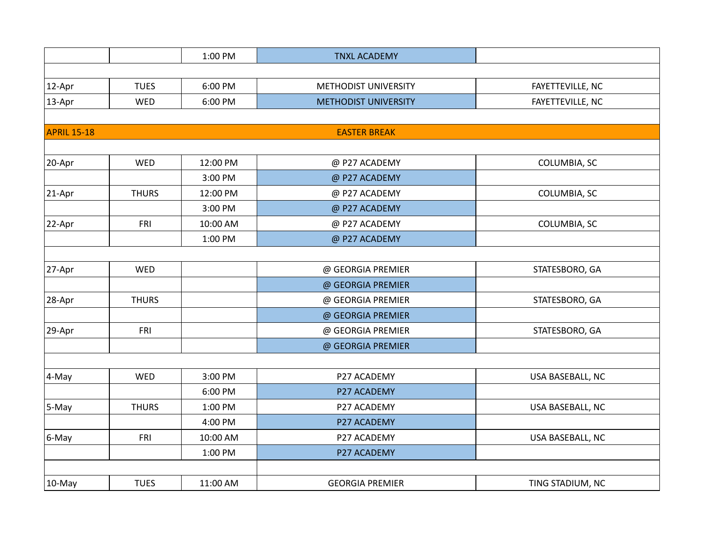|                    |              | 1:00 PM  | <b>TNXL ACADEMY</b>         |                  |
|--------------------|--------------|----------|-----------------------------|------------------|
|                    |              |          |                             |                  |
| $ 12 - Apr $       | <b>TUES</b>  | 6:00 PM  | METHODIST UNIVERSITY        | FAYETTEVILLE, NC |
| $ 13 - Apr $       | WED          | 6:00 PM  | <b>METHODIST UNIVERSITY</b> | FAYETTEVILLE, NC |
|                    |              |          |                             |                  |
| <b>APRIL 15-18</b> |              |          | <b>EASTER BREAK</b>         |                  |
|                    |              |          |                             |                  |
| 20-Apr             | WED          | 12:00 PM | @ P27 ACADEMY               | COLUMBIA, SC     |
|                    |              | 3:00 PM  | @ P27 ACADEMY               |                  |
| $ 21 - Apr $       | <b>THURS</b> | 12:00 PM | @ P27 ACADEMY               | COLUMBIA, SC     |
|                    |              | 3:00 PM  | @ P27 ACADEMY               |                  |
| 22-Apr             | FRI          | 10:00 AM | @ P27 ACADEMY               | COLUMBIA, SC     |
|                    |              | 1:00 PM  | @ P27 ACADEMY               |                  |
|                    |              |          |                             |                  |
| 27-Apr             | WED          |          | @ GEORGIA PREMIER           | STATESBORO, GA   |
|                    |              |          | @ GEORGIA PREMIER           |                  |
| 28-Apr             | <b>THURS</b> |          | @ GEORGIA PREMIER           | STATESBORO, GA   |
|                    |              |          | @ GEORGIA PREMIER           |                  |
| $ 29 - Apr $       | FRI          |          | @ GEORGIA PREMIER           | STATESBORO, GA   |
|                    |              |          | @ GEORGIA PREMIER           |                  |
|                    |              |          |                             |                  |
| 4-May              | WED          | 3:00 PM  | P27 ACADEMY                 | USA BASEBALL, NC |
|                    |              | 6:00 PM  | P27 ACADEMY                 |                  |
| $ 5$ -May          | <b>THURS</b> | 1:00 PM  | P27 ACADEMY                 | USA BASEBALL, NC |
|                    |              | 4:00 PM  | P27 ACADEMY                 |                  |
| $6$ -May           | FRI          | 10:00 AM | P27 ACADEMY                 | USA BASEBALL, NC |
|                    |              | 1:00 PM  | P27 ACADEMY                 |                  |
|                    |              |          |                             |                  |
| 10-May             | <b>TUES</b>  | 11:00 AM | <b>GEORGIA PREMIER</b>      | TING STADIUM, NC |
|                    |              |          |                             |                  |